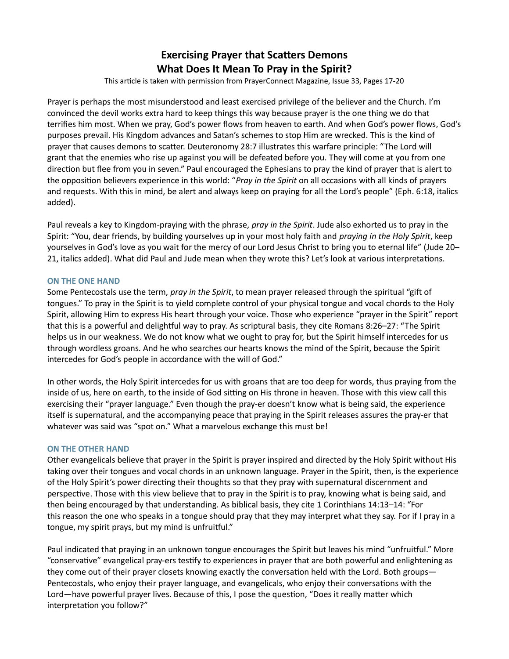# **Exercising Prayer that Scatters Demons** What Does It Mean To Pray in the Spirit?

This article is taken with permission from PrayerConnect Magazine, Issue 33, Pages 17-20

Prayer is perhaps the most misunderstood and least exercised privilege of the believer and the Church. I'm convinced the devil works extra hard to keep things this way because prayer is the one thing we do that terrifies him most. When we pray, God's power flows from heaven to earth. And when God's power flows, God's purposes prevail. His Kingdom advances and Satan's schemes to stop Him are wrecked. This is the kind of prayer that causes demons to scatter. Deuteronomy 28:7 illustrates this warfare principle: "The Lord will grant that the enemies who rise up against you will be defeated before you. They will come at you from one direction but flee from you in seven." Paul encouraged the Ephesians to pray the kind of prayer that is alert to the opposition believers experience in this world: "Pray in the Spirit on all occasions with all kinds of prayers and requests. With this in mind, be alert and always keep on praying for all the Lord's people" (Eph. 6:18, italics added).

Paul reveals a key to Kingdom-praying with the phrase, *pray in the Spirit*. Jude also exhorted us to pray in the Spirit: "You, dear friends, by building yourselves up in your most holy faith and praying in the Holy Spirit, keep yourselves in God's love as you wait for the mercy of our Lord Jesus Christ to bring you to eternal life" (Jude 20– 21, italics added). What did Paul and Jude mean when they wrote this? Let's look at various interpretations.

## ON THE ONE HAND

Some Pentecostals use the term, pray in the Spirit, to mean prayer released through the spiritual "gift of tongues." To pray in the Spirit is to yield complete control of your physical tongue and vocal chords to the Holy Spirit, allowing Him to express His heart through your voice. Those who experience "prayer in the Spirit" report that this is a powerful and delightful way to pray. As scriptural basis, they cite Romans 8:26–27: "The Spirit helps us in our weakness. We do not know what we ought to pray for, but the Spirit himself intercedes for us through wordless groans. And he who searches our hearts knows the mind of the Spirit, because the Spirit intercedes for God's people in accordance with the will of God."

In other words, the Holy Spirit intercedes for us with groans that are too deep for words, thus praying from the inside of us, here on earth, to the inside of God sitting on His throne in heaven. Those with this view call this exercising their "prayer language." Even though the pray-er doesn't know what is being said, the experience itself is supernatural, and the accompanying peace that praying in the Spirit releases assures the pray-er that whatever was said was "spot on." What a marvelous exchange this must be!

#### ON THE OTHER HAND

Other evangelicals believe that prayer in the Spirit is prayer inspired and directed by the Holy Spirit without His taking over their tongues and vocal chords in an unknown language. Prayer in the Spirit, then, is the experience of the Holy Spirit's power directing their thoughts so that they pray with supernatural discernment and perspective. Those with this view believe that to pray in the Spirit is to pray, knowing what is being said, and then being encouraged by that understanding. As biblical basis, they cite 1 Corinthians 14:13–14: "For this reason the one who speaks in a tongue should pray that they may interpret what they say. For if I pray in a tongue, my spirit prays, but my mind is unfruitful."

Paul indicated that praying in an unknown tongue encourages the Spirit but leaves his mind "unfruitful." More "conservative" evangelical pray-ers testify to experiences in prayer that are both powerful and enlightening as they come out of their prayer closets knowing exactly the conversation held with the Lord. Both groups— Pentecostals, who enjoy their prayer language, and evangelicals, who enjoy their conversations with the Lord—have powerful prayer lives. Because of this, I pose the question, "Does it really matter which interpretation you follow?"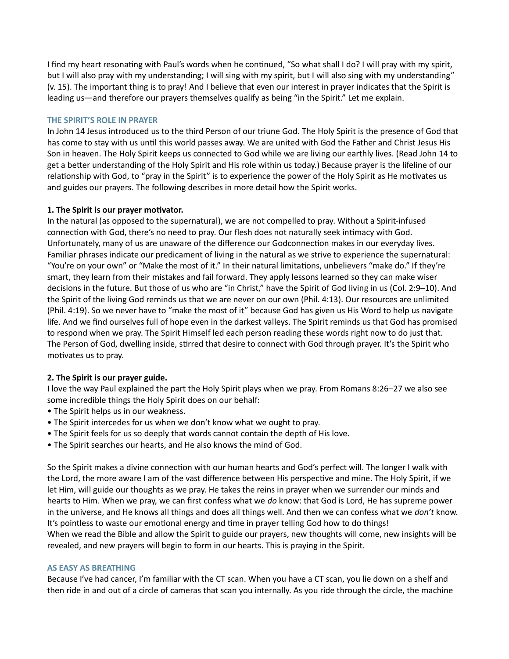I find my heart resonating with Paul's words when he continued, "So what shall I do? I will pray with my spirit, but I will also pray with my understanding; I will sing with my spirit, but I will also sing with my understanding" (v. 15). The important thing is to pray! And I believe that even our interest in prayer indicates that the Spirit is leading us—and therefore our prayers themselves qualify as being "in the Spirit." Let me explain.

#### THE SPIRIT'S ROLE IN PRAYER

In John 14 Jesus introduced us to the third Person of our triune God. The Holy Spirit is the presence of God that has come to stay with us until this world passes away. We are united with God the Father and Christ Jesus His Son in heaven. The Holy Spirit keeps us connected to God while we are living our earthly lives. (Read John 14 to get a better understanding of the Holy Spirit and His role within us today.) Because prayer is the lifeline of our relationship with God, to "pray in the Spirit" is to experience the power of the Holy Spirit as He motivates us and guides our prayers. The following describes in more detail how the Spirit works.

## 1. The Spirit is our prayer motivator.

In the natural (as opposed to the supernatural), we are not compelled to pray. Without a Spirit-infused connection with God, there's no need to pray. Our flesh does not naturally seek intimacy with God. Unfortunately, many of us are unaware of the difference our Godconnection makes in our everyday lives. Familiar phrases indicate our predicament of living in the natural as we strive to experience the supernatural: "You're on your own" or "Make the most of it." In their natural limitations, unbelievers "make do." If they're smart, they learn from their mistakes and fail forward. They apply lessons learned so they can make wiser decisions in the future. But those of us who are "in Christ," have the Spirit of God living in us (Col. 2:9–10). And the Spirit of the living God reminds us that we are never on our own (Phil. 4:13). Our resources are unlimited (Phil. 4:19). So we never have to "make the most of it" because God has given us His Word to help us navigate life. And we find ourselves full of hope even in the darkest valleys. The Spirit reminds us that God has promised to respond when we pray. The Spirit Himself led each person reading these words right now to do just that. The Person of God, dwelling inside, stirred that desire to connect with God through prayer. It's the Spirit who motivates us to pray.

## 2. The Spirit is our prayer guide.

I love the way Paul explained the part the Holy Spirit plays when we pray. From Romans 8:26–27 we also see some incredible things the Holy Spirit does on our behalf:

- The Spirit helps us in our weakness.
- The Spirit intercedes for us when we don't know what we ought to pray.
- The Spirit feels for us so deeply that words cannot contain the depth of His love.
- The Spirit searches our hearts, and He also knows the mind of God.

So the Spirit makes a divine connection with our human hearts and God's perfect will. The longer I walk with the Lord, the more aware I am of the vast difference between His perspective and mine. The Holy Spirit, if we let Him, will guide our thoughts as we pray. He takes the reins in prayer when we surrender our minds and hearts to Him. When we pray, we can first confess what we do know: that God is Lord, He has supreme power in the universe, and He knows all things and does all things well. And then we can confess what we don't know. It's pointless to waste our emotional energy and time in prayer telling God how to do things! When we read the Bible and allow the Spirit to guide our prayers, new thoughts will come, new insights will be revealed, and new prayers will begin to form in our hearts. This is praying in the Spirit.

#### AS EASY AS BREATHING

Because I've had cancer, I'm familiar with the CT scan. When you have a CT scan, you lie down on a shelf and then ride in and out of a circle of cameras that scan you internally. As you ride through the circle, the machine